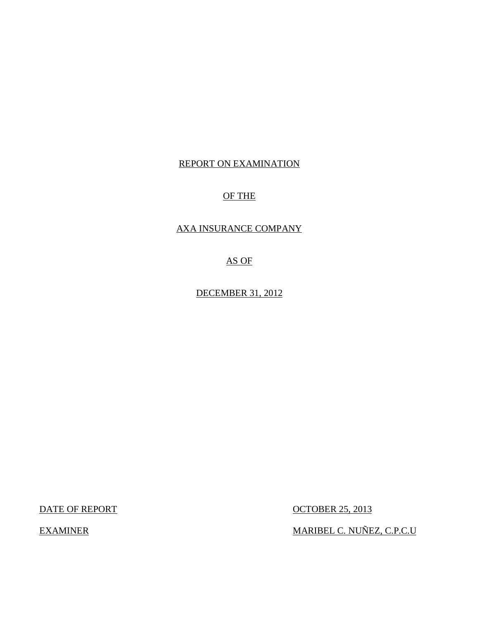#### REPORT ON EXAMINATION

#### OF THE

### AXA INSURANCE COMPANY

AS OF

DECEMBER 31, 2012

DATE OF REPORT

**OCTOBER 25, 2013** 

**EXAMINER** 

MARIBEL C. NUÑEZ, C.P.C.U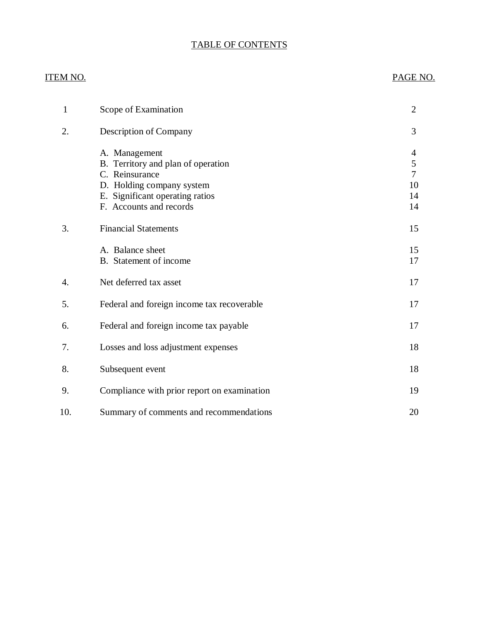#### TABLE OF CONTENTS

# **ITEM NO.** [1 Scope of Examination 2](#page-3-0) 2. Description of Company 3 3. Financial Statements 15  $\overline{4}$ . 5. Federal and foreign income tax recoverable 17 6. Federal and foreign income tax payable 17 [7. Losses and loss adjustment expenses 18](#page-19-0) [8. Subsequent event 18](#page-19-0) [9. Compliance with prior report on examination 19](#page-20-0) 10. Summary of comments and recommendations 20 PAGE NO. [A. Management 4](#page-5-0) B. Territory and plan of operation 5<br>
C. Reinsurance 5 C. Reinsurance [D. Holding company system 10](#page-11-0) E. Significant operating ratios 14 F. Accounts and records 14 A. Balance sheet 15 B. Statement of income 17 Net deferred tax asset 17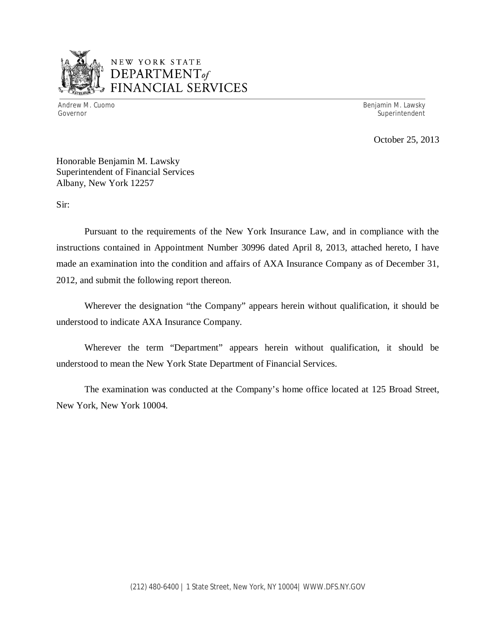

## NEW YORK STATE *DEPARTMENTof*  FINANCIAL SERVICES

Andrew M. Cuomo

Benjamin M. Lawsky Governor Superintendent Superintendent Superintendent Superintendent Superintendent Superintendent Superintendent

October 25, 2013

 Honorable Benjamin M. Lawsky Superintendent of Financial Services Albany, New York 12257

Sir:

 Pursuant to the requirements of the New York Insurance Law, and in compliance with the instructions contained in Appointment Number 30996 dated April 8, 2013, attached hereto, I have made an examination into the condition and affairs of AXA Insurance Company as of December 31, 2012, and submit the following report thereon.

 Wherever the designation "the Company" appears herein without qualification, it should be understood to indicate AXA Insurance Company.

 Wherever the term "Department" appears herein without qualification, it should be understood to mean the New York State Department of Financial Services.

 New York, New York 10004. The examination was conducted at the Company's home office located at 125 Broad Street,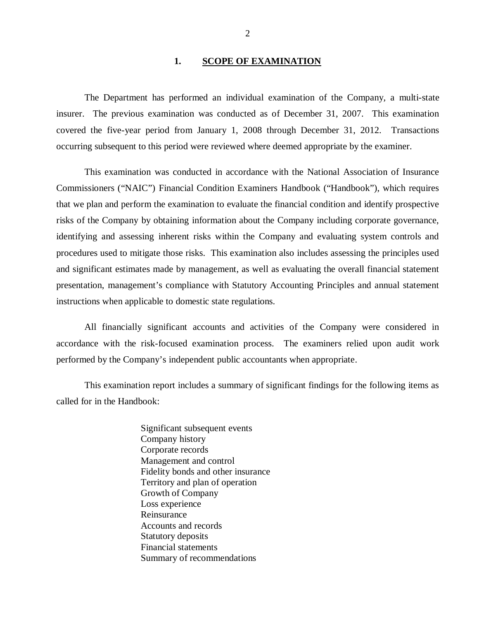#### **1. SCOPE OF EXAMINATION**

<span id="page-3-0"></span> insurer. The previous examination was conducted as of December 31, 2007. This examination covered the five-year period from January 1, 2008 through December 31, 2012. Transactions occurring subsequent to this period were reviewed where deemed appropriate by the examiner. The Department has performed an individual examination of the Company*,* a multi-state

 Commissioners ("NAIC") Financial Condition Examiners Handbook ("Handbook"), which requires that we plan and perform the examination to evaluate the financial condition and identify prospective risks of the Company by obtaining information about the Company including corporate governance, identifying and assessing inherent risks within the Company and evaluating system controls and procedures used to mitigate those risks. This examination also includes assessing the principles used and significant estimates made by management, as well as evaluating the overall financial statement presentation, management's compliance with Statutory Accounting Principles and annual statement instructions when applicable to domestic state regulations. This examination was conducted in accordance with the National Association of Insurance

 accordance with the risk-focused examination process. The examiners relied upon audit work performed by the Company's independent public accountants when appropriate. All financially significant accounts and activities of the Company were considered in

 called for in the Handbook: This examination report includes a summary of significant findings for the following items as

> Significant subsequent events Company history Corporate records Management and control Fidelity bonds and other insurance Territory and plan of operation Growth of Company Loss experience Reinsurance Reinsurance Accounts and records Statutory deposits Financial statements Summary of recommendations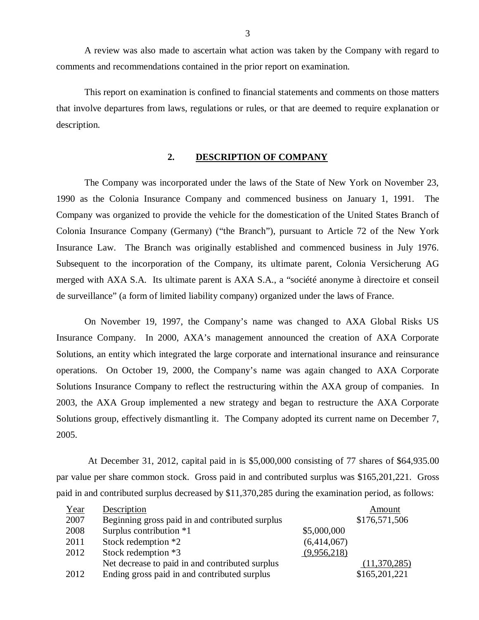comments and recommendations contained in the prior report on examination. A review was also made to ascertain what action was taken by the Company with regard to

 that involve departures from laws, regulations or rules, or that are deemed to require explanation or This report on examination is confined to financial statements and comments on those matters description.

#### **2. DESCRIPTION OF COMPANY**

 1990 as the Colonia Insurance Company and commenced business on January 1, 1991. The Company was organized to provide the vehicle for the domestication of the United States Branch of Colonia Insurance Company (Germany) ("the Branch"), pursuant to Article 72 of the New York Insurance Law. The Branch was originally established and commenced business in July 1976. Subsequent to the incorporation of the Company, its ultimate parent, Colonia Versicherung AG merged with AXA S.A. Its ultimate parent is AXA S.A., a "société anonyme à directoire et conseil de surveillance" (a form of limited liability company) organized under the laws of France. The Company was incorporated under the laws of the State of New York on November 23,

 Insurance Company. In 2000, AXA's management announced the creation of AXA Corporate Solutions, an entity which integrated the large corporate and international insurance and reinsurance operations. On October 19, 2000, the Company's name was again changed to AXA Corporate Solutions Insurance Company to reflect the restructuring within the AXA group of companies. In 2003, the AXA Group implemented a new strategy and began to restructure the AXA Corporate Solutions group, effectively dismantling it. The Company adopted its current name on December 7, 2005. On November 19, 1997, the Company's name was changed to AXA Global Risks US

 par value per share common stock. Gross paid in and contributed surplus was \$165,201,221. Gross paid in and contributed surplus decreased by \$11,370,285 during the examination period, as follows: 2005. At December 31, 2012, capital paid in is \$5,000,000 consisting of 77 shares of [\\$64,935.00](https://64,935.00)

| Year | Description                                     |             | Amount        |
|------|-------------------------------------------------|-------------|---------------|
| 2007 | Beginning gross paid in and contributed surplus |             | \$176,571,506 |
| 2008 | Surplus contribution *1                         | \$5,000,000 |               |
| 2011 | Stock redemption *2                             | (6,414,067) |               |
| 2012 | Stock redemption *3                             | (9,956,218) |               |
|      | Net decrease to paid in and contributed surplus |             | (11,370,285)  |
| 2012 | Ending gross paid in and contributed surplus    |             | \$165,201,221 |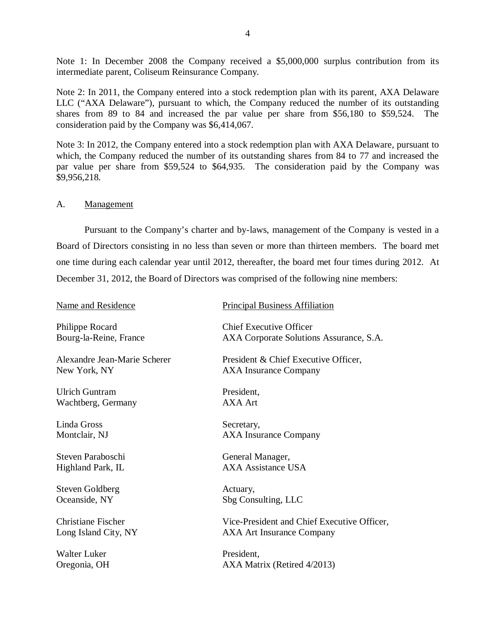<span id="page-5-0"></span> Note 1: In December 2008 the Company received a \$5,000,000 surplus contribution from its intermediate parent, Coliseum Reinsurance Company.

 Note 2: In 2011, the Company entered into a stock redemption plan with its parent, AXA Delaware LLC ("AXA Delaware"), pursuant to which, the Company reduced the number of its outstanding shares from 89 to 84 and increased the par value per share from \$56,180 to \$59,524. The consideration paid by the Company was \$6,414,067.

 Note 3: In 2012, the Company entered into a stock redemption plan with AXA Delaware, pursuant to which, the Company reduced the number of its outstanding shares from 84 to 77 and increased the par value per share from \$59,524 to \$64,935. The consideration paid by the Company was \$9,956,218.

#### A. Management

 Board of Directors consisting in no less than seven or more than thirteen members. The board met one time during each calendar year until 2012, thereafter, the board met four times during 2012. At December 31, 2012, the Board of Directors was comprised of the following nine members: Pursuant to the Company's charter and by-laws, management of the Company is vested in a

Philippe Rocard Bourg-la-Reine, France

Alexandre Jean-Marie Scherer New York, NY New York, NY **AXA Insurance Company** 

**Ulrich Guntram** Ulrich Guntram President, Wachtberg, Germany AXA Art

Linda Gross Montclair, NJ

Steven Paraboschi Highland Park, IL Steven Paraboschi General Manager,

Steven Goldberg **Actuary**, Oceanside, NY

Christiane Fischer Long Island City, NY

Walter Luker President, Oregonia, OH

#### Name and Residence **Principal Business Affiliation**

Philippe Rocard **Chief Executive Officer** Bourg-la-Reine, France AXA Corporate Solutions Assurance, S.A.

Alexandre Jean-Marie Scherer President & Chief Executive Officer,

President, AXA Art

Secretary, Linda Gross Secretary, Montclair, NJ AXA Insurance Company

Highland Park, IL AXA Assistance USA

Sbg Consulting, LLC

 Christiane Fischer Vice-President and Chief Executive Officer, Long Island City, NY AXA Art Insurance Company

AXA Matrix (Retired 4/2013)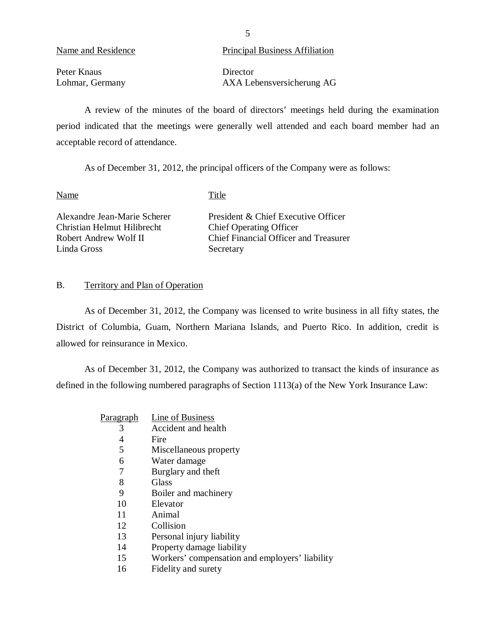Peter Knaus Director Lohmar, Germany

Name and Residence **Principal Business** Affiliation

AXA Lebensversicherung AG

 period indicated that the meetings were generally well attended and each board member had an acceptable record of attendance. A review of the minutes of the board of directors' meetings held during the examination

As of December 31, 2012, the principal officers of the Company were as follows:

Name Title

Alexandre Jean-Marie Scherer Christian Helmut Hilibrecht Chief Operating Officer Robert Andrew Wolf II Linda Gross Secretary

President & Chief Executive Officer Chief Financial Officer and Treasurer

#### B. Territory and Plan of Operation

 District of Columbia, Guam, Northern Mariana Islands, and Puerto Rico. In addition, credit is allowed for reinsurance in Mexico. As of December 31, 2012, the Company was licensed to write business in all fifty states, the

 defined in the following numbered paragraphs of Section 1113(a) of the New York Insurance Law: As of December 31, 2012, the Company was authorized to transact the kinds of insurance as

| P <u>aragraph</u> | Line of Business                               |
|-------------------|------------------------------------------------|
| 3                 | Accident and health                            |
| 4                 | Fire                                           |
| 5                 | Miscellaneous property                         |
| 6                 | Water damage                                   |
| 7                 | Burglary and theft                             |
| 8                 | Glass                                          |
| 9                 | Boiler and machinery                           |
| 10                | Elevator                                       |
| 11                | Animal                                         |
| 12                | Collision                                      |
| 13                | Personal injury liability                      |
| 14                | Property damage liability                      |
| 15                | Workers' compensation and employers' liability |
|                   |                                                |

 16 Fidelity and surety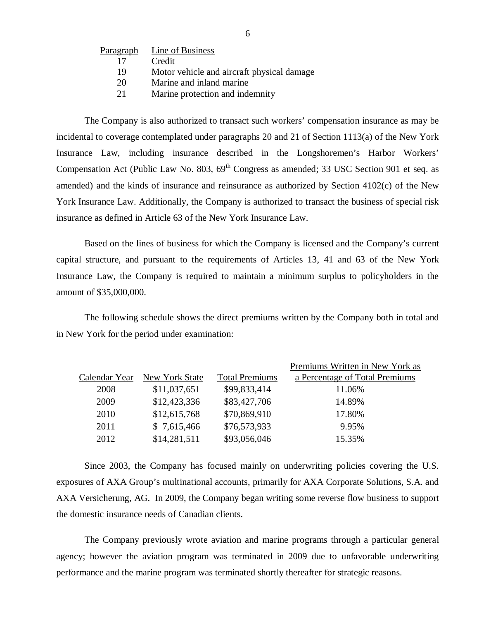| Paragraph | Line of Business                           |
|-----------|--------------------------------------------|
| 17        | Credit                                     |
| 19        | Motor vehicle and aircraft physical damage |
| 20        | Marine and inland marine                   |
| 21        | Marine protection and indemnity            |

 incidental to coverage contemplated under paragraphs 20 and 21 of Section 1113(a) of the New York Insurance Law, including insurance described in the Longshoremen's Harbor Workers' Compensation Act (Public Law No. 803,  $69<sup>th</sup>$  Congress as amended; 33 USC Section 901 et seq. as amended) and the kinds of insurance and reinsurance as authorized by Section 4102(c) of the New York Insurance Law. Additionally, the Company is authorized to transact the business of special risk insurance as defined in Article 63 of the New York Insurance Law. The Company is also authorized to transact such workers' compensation insurance as may be

 Based on the lines of business for which the Company is licensed and the Company's current capital structure, and pursuant to the requirements of Articles 13, 41 and 63 of the New York Insurance Law, the Company is required to maintain a minimum surplus to policyholders in the amount of \$35,000,000.

 in New York for the period under examination: The following schedule shows the direct premiums written by the Company both in total and

|               |                |                       | Premiums Written in New York as |
|---------------|----------------|-----------------------|---------------------------------|
| Calendar Year | New York State | <b>Total Premiums</b> | a Percentage of Total Premiums  |
| 2008          | \$11,037,651   | \$99,833,414          | 11.06%                          |
| 2009          | \$12,423,336   | \$83,427,706          | 14.89%                          |
| 2010          | \$12,615,768   | \$70,869,910          | 17.80%                          |
| 2011          | \$7,615,466    | \$76,573,933          | 9.95%                           |
| 2012          | \$14,281,511   | \$93,056,046          | 15.35%                          |
|               |                |                       |                                 |

 Since 2003, the Company has focused mainly on underwriting policies covering the U.S. exposures of AXA Group's multinational accounts, primarily for AXA Corporate Solutions, S.A. and AXA Versicherung, AG. In 2009, the Company began writing some reverse flow business to support the domestic insurance needs of Canadian clients.

 The Company previously wrote aviation and marine programs through a particular general agency; however the aviation program was terminated in 2009 due to unfavorable underwriting performance and the marine program was terminated shortly thereafter for strategic reasons.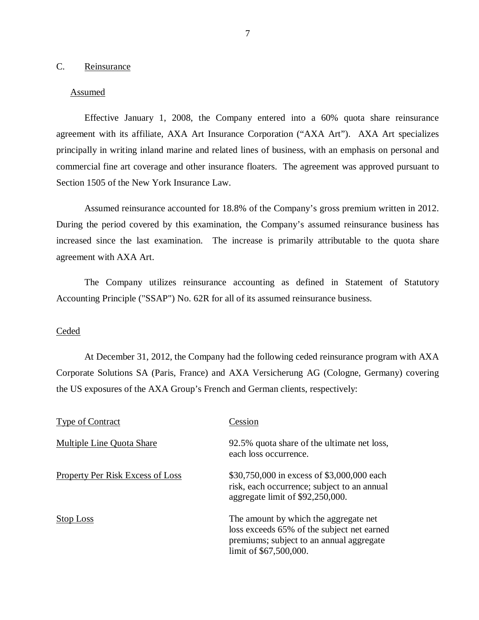# C. <u>Reinsurance</u><br>Assumed

 Effective January 1, 2008, the Company entered into a 60% quota share reinsurance agreement with its affiliate, AXA Art Insurance Corporation ("AXA Art"). AXA Art specializes principally in writing inland marine and related lines of business, with an emphasis on personal and commercial fine art coverage and other insurance floaters. The agreement was approved pursuant to Section 1505 of the New York Insurance Law.

 Assumed reinsurance accounted for 18.8% of the Company's gross premium written in 2012. During the period covered by this examination, the Company's assumed reinsurance business has increased since the last examination. The increase is primarily attributable to the quota share agreement with AXA Art.

 The Company utilizes reinsurance accounting as defined in Statement of Statutory Accounting Principle ("SSAP") No. 62R for all of its assumed reinsurance business.

#### **Ceded**

 At December 31, 2012, the Company had the following ceded reinsurance program with AXA Corporate Solutions SA (Paris, France) and AXA Versicherung AG (Cologne, Germany) covering the US exposures of the AXA Group's French and German clients, respectively:

| <b>Type of Contract</b>          | Cession                                                                                                                                                   |
|----------------------------------|-----------------------------------------------------------------------------------------------------------------------------------------------------------|
| <b>Multiple Line Quota Share</b> | 92.5% quota share of the ultimate net loss,<br>each loss occurrence.                                                                                      |
| Property Per Risk Excess of Loss | \$30,750,000 in excess of \$3,000,000 each<br>risk, each occurrence; subject to an annual<br>aggregate limit of \$92,250,000.                             |
| <b>Stop Loss</b>                 | The amount by which the aggregate net<br>loss exceeds 65% of the subject net earned<br>premiums; subject to an annual aggregate<br>limit of \$67,500,000. |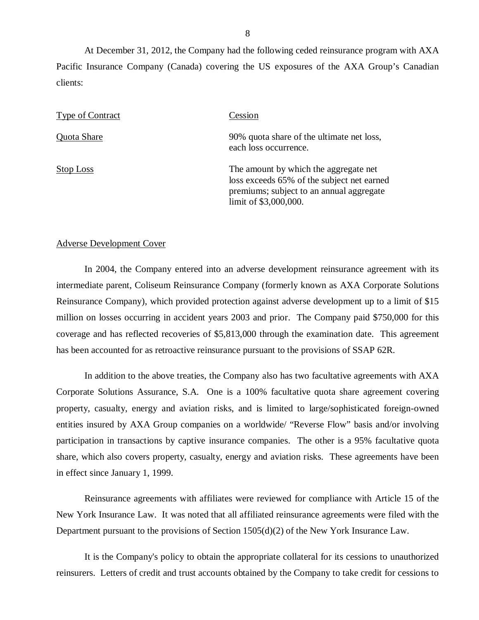At December 31, 2012, the Company had the following ceded reinsurance program with AXA Pacific Insurance Company (Canada) covering the US exposures of the AXA Group's Canadian clients:

| <b>Type of Contract</b> | Cession                                                                                                                                                  |
|-------------------------|----------------------------------------------------------------------------------------------------------------------------------------------------------|
| Quota Share             | 90% quota share of the ultimate net loss,<br>each loss occurrence.                                                                                       |
| Stop Loss               | The amount by which the aggregate net<br>loss exceeds 65% of the subject net earned<br>premiums; subject to an annual aggregate<br>limit of \$3,000,000. |

#### Adverse Development Cover

 In 2004, the Company entered into an adverse development reinsurance agreement with its intermediate parent, Coliseum Reinsurance Company (formerly known as AXA Corporate Solutions Reinsurance Company), which provided protection against adverse development up to a limit of \$15 million on losses occurring in accident years 2003 and prior. The Company paid \$750,000 for this coverage and has reflected recoveries of \$5,813,000 through the examination date. This agreement has been accounted for as retroactive reinsurance pursuant to the provisions of SSAP 62R.

 In addition to the above treaties, the Company also has two facultative agreements with AXA Corporate Solutions Assurance, S.A. One is a 100% facultative quota share agreement covering property, casualty, energy and aviation risks, and is limited to large/sophisticated foreign-owned entities insured by AXA Group companies on a worldwide/ "Reverse Flow" basis and/or involving participation in transactions by captive insurance companies. The other is a 95% facultative quota share, which also covers property, casualty, energy and aviation risks. These agreements have been in effect since January 1, 1999.

 Reinsurance agreements with affiliates were reviewed for compliance with Article 15 of the New York Insurance Law. It was noted that all affiliated reinsurance agreements were filed with the Department pursuant to the provisions of Section 1505(d)(2) of the New York Insurance Law.

 It is the Company's policy to obtain the appropriate collateral for its cessions to unauthorized reinsurers. Letters of credit and trust accounts obtained by the Company to take credit for cessions to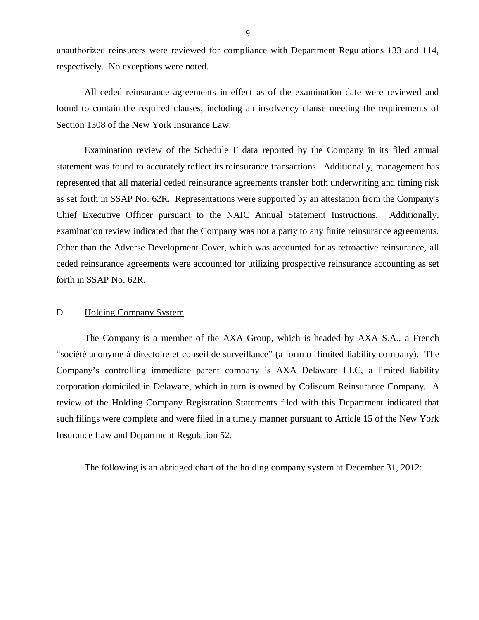unauthorized reinsurers were reviewed for compliance with Department Regulations 133 and 114, respectively. No exceptions were noted.

 All ceded reinsurance agreements in effect as of the examination date were reviewed and found to contain the required clauses, including an insolvency clause meeting the requirements of Section 1308 of the New York Insurance Law.

 Examination review of the Schedule F data reported by the Company in its filed annual statement was found to accurately reflect its reinsurance transactions. Additionally, management has represented that all material ceded reinsurance agreements transfer both underwriting and timing risk as set forth in SSAP No. 62R. Representations were supported by an attestation from the Company's Chief Executive Officer pursuant to the NAIC Annual Statement Instructions. Additionally, examination review indicated that the Company was not a party to any finite reinsurance agreements. Other than the Adverse Development Cover, which was accounted for as retroactive reinsurance, all ceded reinsurance agreements were accounted for utilizing prospective reinsurance accounting as set forth in SSAP No. 62R.

#### D. Holding Company System

 "société anonyme à directoire et conseil de surveillance" (a form of limited liability company). The Company's controlling immediate parent company is AXA Delaware LLC, a limited liability corporation domiciled in Delaware, which in turn is owned by Coliseum Reinsurance Company. A review of the Holding Company Registration Statements filed with this Department indicated that such filings were complete and were filed in a timely manner pursuant to Article 15 of the New York Insurance Law and Department Regulation 52. The Company is a member of the AXA Group, which is headed by AXA S.A., a French

The following is an abridged chart of the holding company system at December 31, 2012: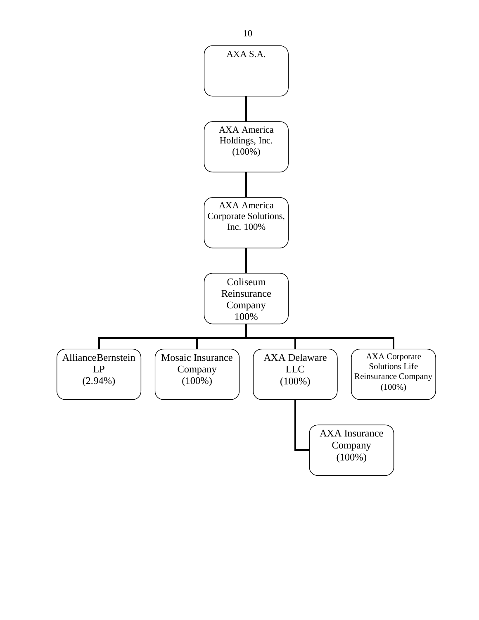<span id="page-11-0"></span>

10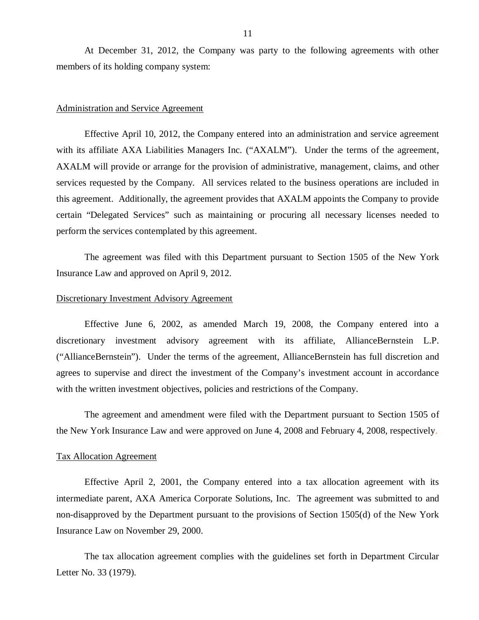members of its holding company system: At December 31, 2012, the Company was party to the following agreements with other

#### Administration and Service Agreement

 Effective April 10, 2012, the Company entered into an administration and service agreement with its affiliate AXA Liabilities Managers Inc. ("AXALM"). Under the terms of the agreement, AXALM will provide or arrange for the provision of administrative, management, claims, and other services requested by the Company. All services related to the business operations are included in this agreement. Additionally, the agreement provides that AXALM appoints the Company to provide certain "Delegated Services" such as maintaining or procuring all necessary licenses needed to perform the services contemplated by this agreement.

 The agreement was filed with this Department pursuant to Section 1505 of the New York Insurance Law and approved on April 9, 2012.

#### Discretionary Investment Advisory Agreement

 Effective June 6, 2002, as amended March 19, 2008, the Company entered into a discretionary investment advisory agreement with its affiliate, AllianceBernstein L.P. ("AllianceBernstein"). Under the terms of the agreement, AllianceBernstein has full discretion and agrees to supervise and direct the investment of the Company's investment account in accordance with the written investment objectives, policies and restrictions of the Company.

 The agreement and amendment were filed with the Department pursuant to Section 1505 of the New York Insurance Law and were approved on June 4, 2008 and February 4, 2008, respectively.

#### Tax Allocation Agreement

 Effective April 2, 2001, the Company entered into a tax allocation agreement with its intermediate parent, AXA America Corporate Solutions, Inc. The agreement was submitted to and non-disapproved by the Department pursuant to the provisions of Section 1505(d) of the New York Insurance Law on November 29, 2000.

 Letter No. 33 (1979). The tax allocation agreement complies with the guidelines set forth in Department Circular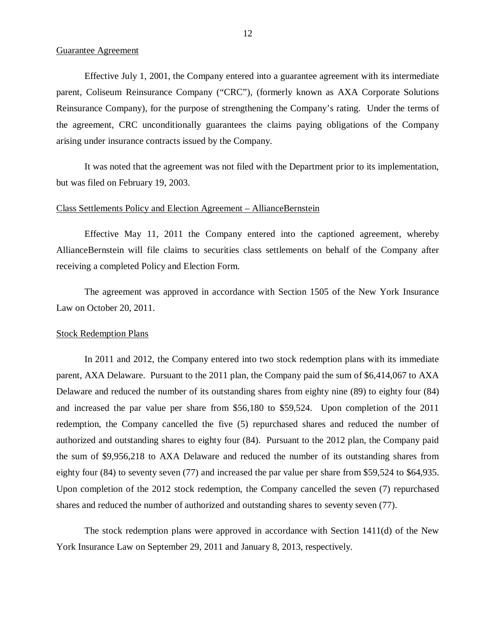Effective July 1, 2001, the Company entered into a guarantee agreement with its intermediate parent, Coliseum Reinsurance Company ("CRC"), (formerly known as AXA Corporate Solutions Reinsurance Company), for the purpose of strengthening the Company's rating. Under the terms of the agreement, CRC unconditionally guarantees the claims paying obligations of the Company arising under insurance contracts issued by the Company.

 It was noted that the agreement was not filed with the Department prior to its implementation, but was filed on February 19, 2003.

#### Class Settlements Policy and Election Agreement – AllianceBernstein

 Effective May 11, 2011 the Company entered into the captioned agreement, whereby AllianceBernstein will file claims to securities class settlements on behalf of the Company after receiving a completed Policy and Election Form.

 The agreement was approved in accordance with Section 1505 of the New York Insurance Law on October 20, 2011.

#### **Stock Redemption Plans**

 parent, AXA Delaware. Pursuant to the 2011 plan, the Company paid the sum of \$6,414,067 to AXA Delaware and reduced the number of its outstanding shares from eighty nine (89) to eighty four (84) and increased the par value per share from \$56,180 to \$59,524. Upon completion of the 2011 redemption, the Company cancelled the five (5) repurchased shares and reduced the number of authorized and outstanding shares to eighty four (84). Pursuant to the 2012 plan, the Company paid the sum of \$9,956,218 to AXA Delaware and reduced the number of its outstanding shares from eighty four (84) to seventy seven (77) and increased the par value per share from \$59,524 to \$64,935. Upon completion of the 2012 stock redemption, the Company cancelled the seven (7) repurchased shares and reduced the number of authorized and outstanding shares to seventy seven (77). In 2011 and 2012, the Company entered into two stock redemption plans with its immediate

 The stock redemption plans were approved in accordance with Section 1411(d) of the New York Insurance Law on September 29, 2011 and January 8, 2013, respectively.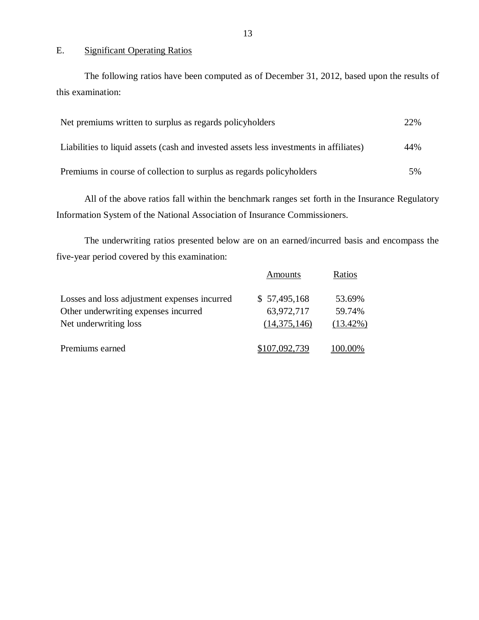### E. Significant Operating Ratios

this examination: The following ratios have been computed as of December 31, 2012, based upon the results of

| this examination:                                                                      |     |
|----------------------------------------------------------------------------------------|-----|
| Net premiums written to surplus as regards policyholders                               | 22% |
| Liabilities to liquid assets (cash and invested assets less investments in affiliates) | 44% |
| Premiums in course of collection to surplus as regards policyholders                   | 5%  |

 Information System of the National Association of Insurance Commissioners. All of the above ratios fall within the benchmark ranges set forth in the Insurance Regulatory

 five-year period covered by this examination: The underwriting ratios presented below are on an earned/incurred basis and encompass the

|                                              | Amounts       | Ratios      |
|----------------------------------------------|---------------|-------------|
| Losses and loss adjustment expenses incurred | \$57,495,168  | 53.69%      |
| Other underwriting expenses incurred         | 63,972,717    | 59.74%      |
| Net underwriting loss                        | (14,375,146)  | $(13.42\%)$ |
| Premiums earned                              | \$107,092,739 | 100.00%     |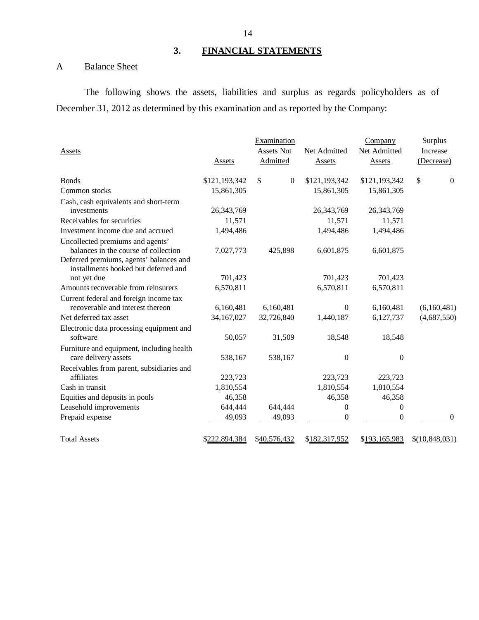### **3. FINANCIAL STATEMENTS**

#### A Balance Sheet

 December 31, 2012 as determined by this examination and as reported by the Company: The following shows the assets, liabilities and surplus as regards policyholders as of

| Assets                                                                                                                  | Assets        | Examination<br><b>Assets Not</b><br>Admitted | Net Admitted<br><u>Assets</u> | Company<br>Net Admitted<br><b>Assets</b> | Surplus<br>Increase<br>(Decrease) |
|-------------------------------------------------------------------------------------------------------------------------|---------------|----------------------------------------------|-------------------------------|------------------------------------------|-----------------------------------|
| <b>B</b> onds                                                                                                           | \$121,193,342 | \$<br>$\mathbf{0}$                           | \$121,193,342                 | \$121,193,342                            | \$<br>$\Omega$                    |
| Common stocks                                                                                                           | 15,861,305    |                                              | 15,861,305                    | 15,861,305                               |                                   |
| Cash, cash equivalents and short-term<br>investments                                                                    | 26, 343, 769  |                                              | 26, 343, 769                  | 26, 343, 769                             |                                   |
| Receivables for securities                                                                                              | 11,571        |                                              | 11,571                        | 11,571                                   |                                   |
| Investment income due and accrued                                                                                       | 1,494,486     |                                              | 1,494,486                     | 1,494,486                                |                                   |
| Uncollected premiums and agents'                                                                                        |               |                                              |                               |                                          |                                   |
| balances in the course of collection<br>Deferred premiums, agents' balances and<br>installments booked but deferred and | 7,027,773     | 425,898                                      | 6,601,875                     | 6,601,875                                |                                   |
| not yet due                                                                                                             | 701,423       |                                              | 701,423                       | 701,423                                  |                                   |
| Amounts recoverable from reinsurers                                                                                     | 6,570,811     |                                              | 6,570,811                     | 6,570,811                                |                                   |
| Current federal and foreign income tax<br>recoverable and interest thereon                                              | 6,160,481     | 6,160,481                                    | $\Omega$                      | 6,160,481                                | (6,160,481)                       |
| Net deferred tax asset                                                                                                  | 34,167,027    | 32,726,840                                   | 1,440,187                     | 6,127,737                                | (4,687,550)                       |
| Electronic data processing equipment and<br>software                                                                    | 50,057        | 31,509                                       | 18,548                        | 18,548                                   |                                   |
| Furniture and equipment, including health<br>care delivery assets                                                       | 538,167       | 538,167                                      | $\mathbf{0}$                  | 0                                        |                                   |
| Receivables from parent, subsidiaries and                                                                               |               |                                              |                               |                                          |                                   |
| affiliates                                                                                                              | 223,723       |                                              | 223,723                       | 223,723                                  |                                   |
| Cash in transit                                                                                                         | 1,810,554     |                                              | 1,810,554                     | 1,810,554                                |                                   |
| Equities and deposits in pools                                                                                          | 46,358        |                                              | 46,358                        | 46,358                                   |                                   |
| Leasehold improvements                                                                                                  | 644,444       | 644,444                                      | 0                             | 0                                        |                                   |
| Prepaid expense                                                                                                         | 49,093        | 49,093                                       | $\theta$                      | $\overline{0}$                           | $\Omega$                          |
| <b>Total Assets</b>                                                                                                     | \$222,894,384 | \$40,576,432                                 | \$182,317,952                 | \$193,165,983                            | \$(10, 848, 031)                  |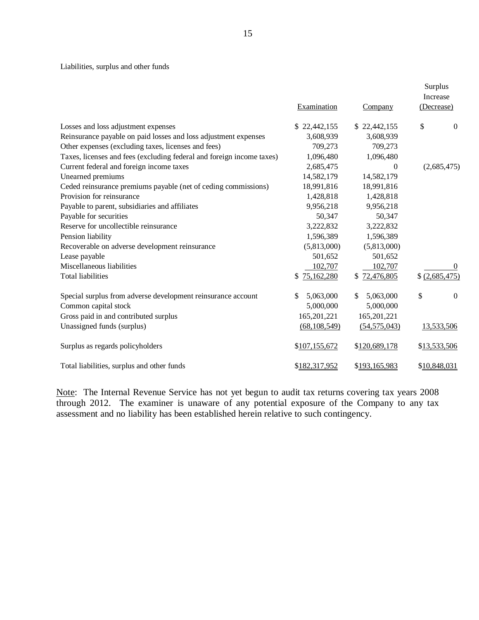Liabilities, surplus and other funds

|                                                                       | Examination     | Company         | Surplus<br>Increase<br>(Decrease) |
|-----------------------------------------------------------------------|-----------------|-----------------|-----------------------------------|
| Losses and loss adjustment expenses                                   | \$22,442,155    | \$22,442,155    | \$<br>$\theta$                    |
| Reinsurance payable on paid losses and loss adjustment expenses       | 3,608,939       | 3,608,939       |                                   |
| Other expenses (excluding taxes, licenses and fees)                   | 709,273         | 709,273         |                                   |
| Taxes, licenses and fees (excluding federal and foreign income taxes) | 1,096,480       | 1,096,480       |                                   |
| Current federal and foreign income taxes                              | 2,685,475       | 0               | (2,685,475)                       |
| Unearned premiums                                                     | 14,582,179      | 14,582,179      |                                   |
| Ceded reinsurance premiums payable (net of ceding commissions)        | 18,991,816      | 18,991,816      |                                   |
| Provision for reinsurance                                             | 1,428,818       | 1,428,818       |                                   |
| Payable to parent, subsidiaries and affiliates                        | 9,956,218       | 9,956,218       |                                   |
| Payable for securities                                                | 50,347          | 50,347          |                                   |
| Reserve for uncollectible reinsurance                                 | 3,222,832       | 3,222,832       |                                   |
| Pension liability                                                     | 1,596,389       | 1,596,389       |                                   |
| Recoverable on adverse development reinsurance                        | (5,813,000)     | (5,813,000)     |                                   |
| Lease payable                                                         | 501,652         | 501,652         |                                   |
| Miscellaneous liabilities                                             | 102,707         | 102,707         | $\theta$                          |
| <b>Total liabilities</b>                                              | \$75,162,280    | \$72,476,805    | \$ (2,685,475)                    |
| Special surplus from adverse development reinsurance account          | 5,063,000<br>S. | 5,063,000<br>S. | \$<br>$\Omega$                    |
| Common capital stock                                                  | 5,000,000       | 5,000,000       |                                   |
| Gross paid in and contributed surplus                                 | 165, 201, 221   | 165, 201, 221   |                                   |
| Unassigned funds (surplus)                                            | (68, 108, 549)  | (54, 575, 043)  | 13,533,506                        |
| Surplus as regards policyholders                                      | \$107,155,672   | \$120,689,178   | \$13,533,506                      |
| Total liabilities, surplus and other funds                            | \$182,317,952   | \$193,165,983   | \$10,848,031                      |

Note: The Internal Revenue Service has not yet begun to audit tax returns covering tax years 2008 through 2012. The examiner is unaware of any potential exposure of the Company to any tax assessment and no liability has been established herein relative to such contingency.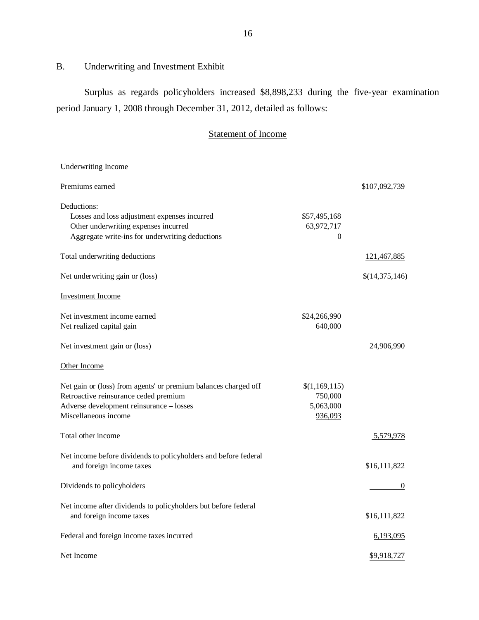#### B. Underwriting and Investment Exhibit

 Surplus as regards policyholders increased \$8,898,233 during the five-year examination period January 1, 2008 through December 31, 2012, detailed as follows:

#### Statement of Income

#### Underwriting Income

| Premiums earned                                                                                                                                                              |                                                  | \$107,092,739  |
|------------------------------------------------------------------------------------------------------------------------------------------------------------------------------|--------------------------------------------------|----------------|
| Deductions:<br>Losses and loss adjustment expenses incurred<br>Other underwriting expenses incurred<br>Aggregate write-ins for underwriting deductions                       | \$57,495,168<br>63,972,717                       |                |
| Total underwriting deductions                                                                                                                                                |                                                  | 121,467,885    |
| Net underwriting gain or (loss)                                                                                                                                              |                                                  | \$(14,375,146) |
| <b>Investment Income</b>                                                                                                                                                     |                                                  |                |
| Net investment income earned<br>Net realized capital gain                                                                                                                    | \$24,266,990<br>640,000                          |                |
| Net investment gain or (loss)                                                                                                                                                |                                                  | 24,906,990     |
| Other Income                                                                                                                                                                 |                                                  |                |
| Net gain or (loss) from agents' or premium balances charged off<br>Retroactive reinsurance ceded premium<br>Adverse development reinsurance - losses<br>Miscellaneous income | \$(1,169,115)<br>750,000<br>5,063,000<br>936,093 |                |
| Total other income                                                                                                                                                           |                                                  | 5,579,978      |
| Net income before dividends to policyholders and before federal<br>and foreign income taxes                                                                                  |                                                  | \$16,111,822   |
| Dividends to policyholders                                                                                                                                                   |                                                  | $\theta$       |
| Net income after dividends to policyholders but before federal<br>and foreign income taxes                                                                                   |                                                  | \$16,111,822   |
| Federal and foreign income taxes incurred                                                                                                                                    |                                                  | 6,193,095      |
| Net Income                                                                                                                                                                   |                                                  | \$9,918,727    |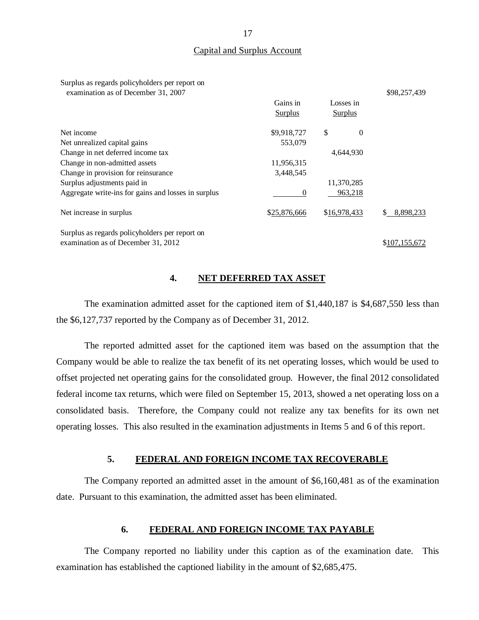#### Capital and Surplus Account

| Surplus as regards policyholders per report on<br>examination as of December 31, 2007 |              |                          | \$98,257,439    |
|---------------------------------------------------------------------------------------|--------------|--------------------------|-----------------|
|                                                                                       | Gains in     | Losses in                |                 |
|                                                                                       | Surplus      | Surplus                  |                 |
| Net income                                                                            | \$9,918,727  | $\mathbb{S}$<br>$\theta$ |                 |
| Net unrealized capital gains                                                          | 553,079      |                          |                 |
| Change in net deferred income tax                                                     |              | 4,644,930                |                 |
| Change in non-admitted assets                                                         | 11,956,315   |                          |                 |
| Change in provision for reinsurance                                                   | 3,448,545    |                          |                 |
| Surplus adjustments paid in                                                           |              | 11,370,285               |                 |
| Aggregate write-ins for gains and losses in surplus                                   | $\theta$     | 963,218                  |                 |
| Net increase in surplus                                                               | \$25,876,666 | \$16,978,433             | 8,898,233<br>S. |
| Surplus as regards policyholders per report on                                        |              |                          |                 |
| examination as of December 31, 2012                                                   |              |                          | \$107,155,672   |

#### **4. NET DEFERRED TAX ASSET**

 the \$6,127,737 reported by the Company as of December 31, 2012. The examination admitted asset for the captioned item of \$1,440,187 is \$4,687,550 less than

 Company would be able to realize the tax benefit of its net operating losses, which would be used to offset projected net operating gains for the consolidated group. However, the final 2012 consolidated federal income tax returns, which were filed on September 15, 2013, showed a net operating loss on a consolidated basis. Therefore, the Company could not realize any tax benefits for its own net operating losses. This also resulted in the examination adjustments in Items 5 and 6 of this report. The reported admitted asset for the captioned item was based on the assumption that the

#### **5. FEDERAL AND FOREIGN INCOME TAX RECOVERABLE**

 date. Pursuant to this examination, the admitted asset has been eliminated. The Company reported an admitted asset in the amount of \$6,160,481 as of the examination

#### **6. FEDERAL AND FOREIGN INCOME TAX PAYABLE**

 examination has established the captioned liability in the amount of \$2,685,475. The Company reported no liability under this caption as of the examination date. This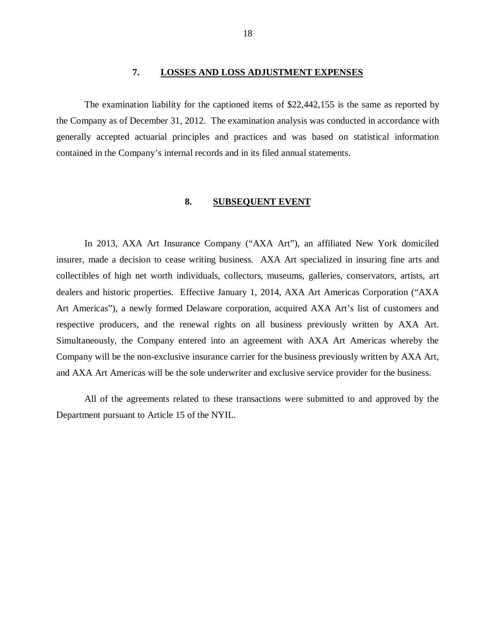#### **7. LOSSES AND LOSS ADJUSTMENT EXPENSES**

<span id="page-19-0"></span> the Company as of December 31, 2012. The examination analysis was conducted in accordance with generally accepted actuarial principles and practices and was based on statistical information contained in the Company's internal records and in its filed annual statements. The examination liability for the captioned items of \$22,442,155 is the same as reported by

#### **8. SUBSEQUENT EVENT**

 In 2013, AXA Art Insurance Company ("AXA Art"), an affiliated New York domiciled insurer, made a decision to cease writing business. AXA Art specialized in insuring fine arts and collectibles of high net worth individuals, collectors, museums, galleries, conservators, artists, art dealers and historic properties. Effective January 1, 2014, AXA Art Americas Corporation ("AXA Art Americas"), a newly formed Delaware corporation, acquired AXA Art's list of customers and respective producers, and the renewal rights on all business previously written by AXA Art. Simultaneously, the Company entered into an agreement with AXA Art Americas whereby the Company will be the non-exclusive insurance carrier for the business previously written by AXA Art, and AXA Art Americas will be the sole underwriter and exclusive service provider for the business.

 All of the agreements related to these transactions were submitted to and approved by the Department pursuant to Article 15 of the NYIL.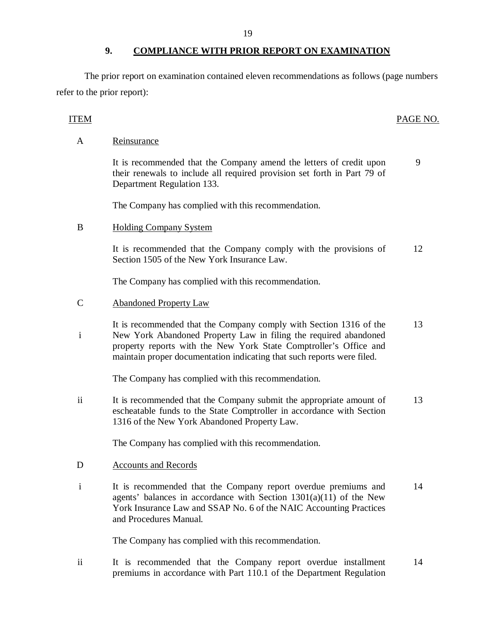#### **9. COMPLIANCE WITH PRIOR REPORT ON EXAMINATION**

<span id="page-20-0"></span> The prior report on examination contained eleven recommendations as follows (page numbers refer to the prior report):

#### PAGE NO. ITEM PAGE NO.

A Reinsurance

It is recommended that the Company amend the letters of credit upon 9 their renewals to include all required provision set forth in Part 79 of Department Regulation 133.

The Company has complied with this recommendation.

B Holding Company System

It is recommended that the Company comply with the provisions of 12 Section 1505 of the New York Insurance Law.

The Company has complied with this recommendation.

C Abandoned Property Law

It is recommended that the Company comply with Section 1316 of the 13 i New York Abandoned Property Law in filing the required abandoned property reports with the New York State Comptroller's Office and maintain proper documentation indicating that such reports were filed.

The Company has complied with this recommendation.

 $\mathbf{ii}$  escheatable funds to the State Comptroller in accordance with Section 1316 of the New York Abandoned Property Law. It is recommended that the Company submit the appropriate amount of 13

The Company has complied with this recommendation.

- D **Accounts and Records**
- $\mathbf{i}$  agents' balances in accordance with Section 1301(a)(11) of the New York Insurance Law and SSAP No. 6 of the NAIC Accounting Practices and Procedures Manual. It is recommended that the Company report overdue premiums and 14

The Company has complied with this recommendation.

 $\mathbf{ii}$  premiums in accordance with Part 110.1 of the Department Regulation It is recommended that the Company report overdue installment 14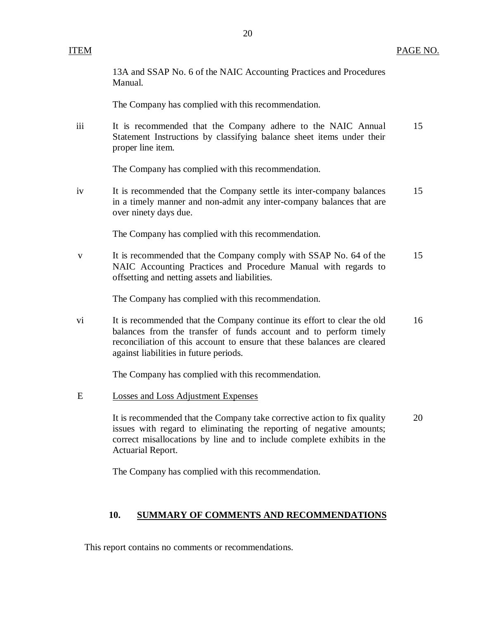13A and SSAP No. 6 of the NAIC Accounting Practices and Procedures Manual.

20

The Company has complied with this recommendation.

iii Statement Instructions by classifying balance sheet items under their proper line item. It is recommended that the Company adhere to the NAIC Annual 15

The Company has complied with this recommendation.

 $iv$  in a timely manner and non-admit any inter-company balances that are over ninety days due. It is recommended that the Company settle its inter-company balances 15

The Company has complied with this recommendation.

 $\mathbf V$  NAIC Accounting Practices and Procedure Manual with regards to It is recommended that the Company comply with SSAP No. 64 of the offsetting and netting assets and liabilities. 15

The Company has complied with this recommendation.

vi balances from the transfer of funds account and to perform timely reconciliation of this account to ensure that these balances are cleared against liabilities in future periods. It is recommended that the Company continue its effort to clear the old 16

The Company has complied with this recommendation.

E Losses and Loss Adjustment Expenses

 issues with regard to eliminating the reporting of negative amounts; correct misallocations by line and to include complete exhibits in the Actuarial Report. It is recommended that the Company take corrective action to fix quality 20

The Company has complied with this recommendation.

#### **10. SUMMARY OF COMMENTS AND RECOMMENDATIONS**

This report contains no comments or recommendations.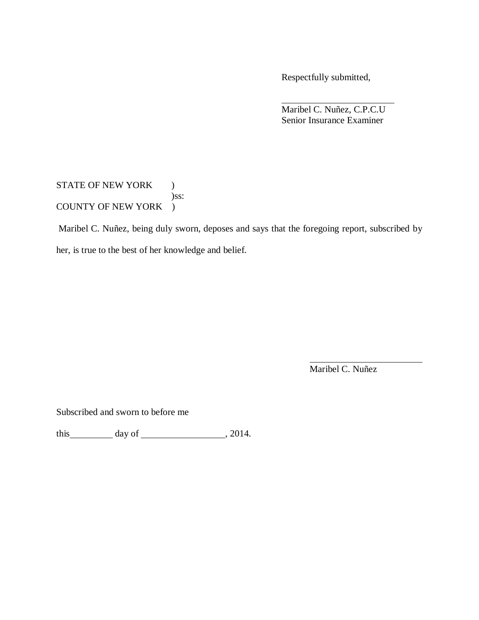Respectfully submitted,

 Senior Insurance Examiner Maribel C. Nuñez, C.P.C.U

STATE OF NEW YORK ) COUNTY OF NEW YORK ) )ss:

 Maribel C. Nuñez, being duly sworn, deposes and says that the foregoing report, subscribed by her, is true to the best of her knowledge and belief.

Maribel C. Nuñez

Subscribed and sworn to before me

this  $\_\_\_\_\_\$  day of  $\_\_\_\_\_\_\_\$ , 2014.